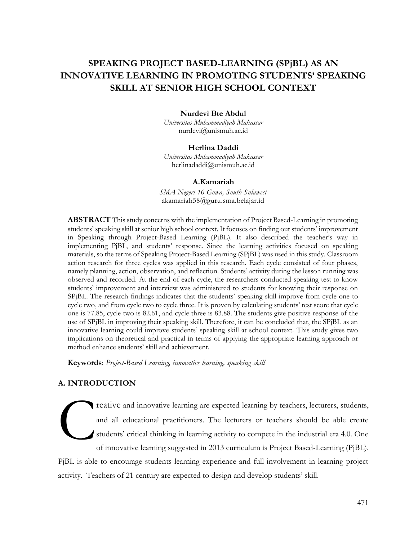# **SPEAKING PROJECT BASED-LEARNING (SPjBL) AS AN INNOVATIVE LEARNING IN PROMOTING STUDENTS' SPEAKING SKILL AT SENIOR HIGH SCHOOL CONTEXT**

## **Nurdevi Bte Abdul**

*Universitas Muhammadiyah Makassar* [nurdevi@unismuh.ac.id](mailto:nurdevi@unismuh.ac.id)

#### **Herlina Daddi**

*Universitas Muhammadiyah Makassar* [herlinadaddi@unismuh.ac.id](mailto:herlinadaddi@unismuh.ac.id)

#### **A.Kamariah**

*SMA Negeri 10 Gowa, South Sulawesi* [akamariah58@guru.sma.belajar.id](mailto:akamariah58@guru.sma.belajar.id)

**ABSTRACT** This study concerns with the implementation of Project Based-Learning in promoting students' speaking skill at senior high school context. It focuses on finding out students' improvement in Speaking through Project-Based Learning (PjBL). It also described the teacher's way in implementing PjBL, and students' response. Since the learning activities focused on speaking materials, so the terms of Speaking Project-Based Learning (SPjBL) was used in this study. Classroom action research for three cycles was applied in this research. Each cycle consisted of four phases, namely planning, action, observation, and reflection. Students' activity during the lesson running was observed and recorded. At the end of each cycle, the researchers conducted speaking test to know students' improvement and interview was administered to students for knowing their response on SPjBL. The research findings indicates that the students' speaking skill improve from cycle one to cycle two, and from cycle two to cycle three. It is proven by calculating students' test score that cycle one is 77.85, cycle two is 82.61, and cycle three is 83.88. The students give positive response of the use of SPjBL in improving their speaking skill. Therefore, it can be concluded that, the SPjBL as an innovative learning could improve students' speaking skill at school context. This study gives two implications on theoretical and practical in terms of applying the appropriate learning approach or method enhance students' skill and achievement.

**Keywords**: *Project-Based Learning, innovative learning, speaking skill*

# **A. INTRODUCTION**

reative and innovative learning are expected learning by teachers, lecturers, students, and all educational practitioners. The lecturers or teachers should be able create students' critical thinking in learning activity to compete in the industrial era 4.0. One of innovative learning suggested in 2013 curriculum is Project Based-Learning (PjBL). C

PjBL is able to encourage students learning experience and full involvement in learning project activity. Teachers of 21 century are expected to design and develop students' skill.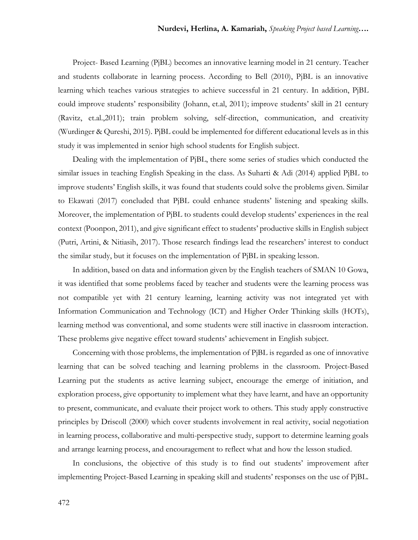Project- Based Learning (PjBL) becomes an innovative learning model in 21 century. Teacher and students collaborate in learning process. According to Bell (2010), PjBL is an innovative learning which teaches various strategies to achieve successful in 21 century. In addition, PjBL could improve students' responsibility (Johann, et.al, 2011); improve students' skill in 21 century (Ravitz, et.al.,2011); train problem solving, self-direction, communication, and creativity (Wurdinger & Qureshi, 2015). PjBL could be implemented for different educational levels as in this study it was implemented in senior high school students for English subject.

Dealing with the implementation of PjBL, there some series of studies which conducted the similar issues in teaching English Speaking in the class. As Suharti & Adi (2014) applied PjBL to improve students' English skills, it was found that students could solve the problems given. Similar to Ekawati (2017) concluded that PjBL could enhance students' listening and speaking skills. Moreover, the implementation of PjBL to students could develop students' experiences in the real context (Poonpon, 2011), and give significant effect to students' productive skills in English subject (Putri, Artini, & Nitiasih, 2017). Those research findings lead the researchers' interest to conduct the similar study, but it focuses on the implementation of PjBL in speaking lesson.

In addition, based on data and information given by the English teachers of SMAN 10 Gowa, it was identified that some problems faced by teacher and students were the learning process was not compatible yet with 21 century learning, learning activity was not integrated yet with Information Communication and Technology (ICT) and Higher Order Thinking skills (HOTs), learning method was conventional, and some students were still inactive in classroom interaction. These problems give negative effect toward students' achievement in English subject.

Concerning with those problems, the implementation of PjBL is regarded as one of innovative learning that can be solved teaching and learning problems in the classroom. Project-Based Learning put the students as active learning subject, encourage the emerge of initiation, and exploration process, give opportunity to implement what they have learnt, and have an opportunity to present, communicate, and evaluate their project work to others. This study apply constructive principles by Driscoll (2000) which cover students involvement in real activity, social negotiation in learning process, collaborative and multi-perspective study, support to determine learning goals and arrange learning process, and encouragement to reflect what and how the lesson studied.

In conclusions, the objective of this study is to find out students' improvement after implementing Project-Based Learning in speaking skill and students' responses on the use of PjBL.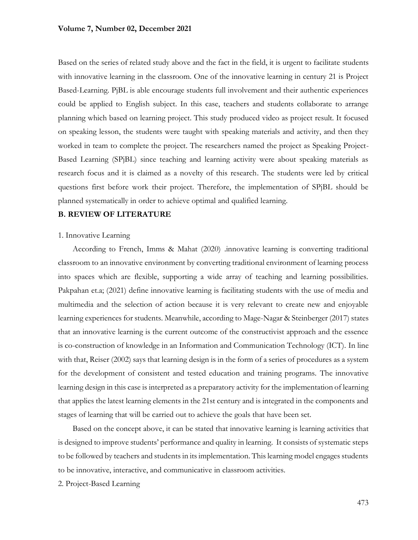Based on the series of related study above and the fact in the field, it is urgent to facilitate students with innovative learning in the classroom. One of the innovative learning in century 21 is Project Based-Learning. PjBL is able encourage students full involvement and their authentic experiences could be applied to English subject. In this case, teachers and students collaborate to arrange planning which based on learning project. This study produced video as project result. It focused on speaking lesson, the students were taught with speaking materials and activity, and then they worked in team to complete the project. The researchers named the project as Speaking Project-Based Learning (SPjBL) since teaching and learning activity were about speaking materials as research focus and it is claimed as a novelty of this research. The students were led by critical questions first before work their project. Therefore, the implementation of SPjBL should be planned systematically in order to achieve optimal and qualified learning.

# **B. REVIEW OF LITERATURE**

## 1. Innovative Learning

According to French, Imms & Mahat (2020) .innovative learning is converting traditional classroom to an innovative environment by converting traditional environment of learning process into spaces which are flexible, supporting a wide array of teaching and learning possibilities. Pakpahan et.a; (2021) define innovative learning is facilitating students with the use of media and multimedia and the selection of action because it is very relevant to create new and enjoyable learning experiences for students. Meanwhile, according to Mage-Nagar & Steinberger (2017) states that an innovative learning is the current outcome of the constructivist approach and the essence is co-construction of knowledge in an Information and Communication Technology (ICT). In line with that, Reiser (2002) says that learning design is in the form of a series of procedures as a system for the development of consistent and tested education and training programs. The innovative learning design in this case is interpreted as a preparatory activity for the implementation of learning that applies the latest learning elements in the 21st century and is integrated in the components and stages of learning that will be carried out to achieve the goals that have been set.

Based on the concept above, it can be stated that innovative learning is learning activities that is designed to improve students' performance and quality in learning. It consists of systematic steps to be followed by teachers and students in its implementation. This learning model engages students to be innovative, interactive, and communicative in classroom activities.

2. Project-Based Learning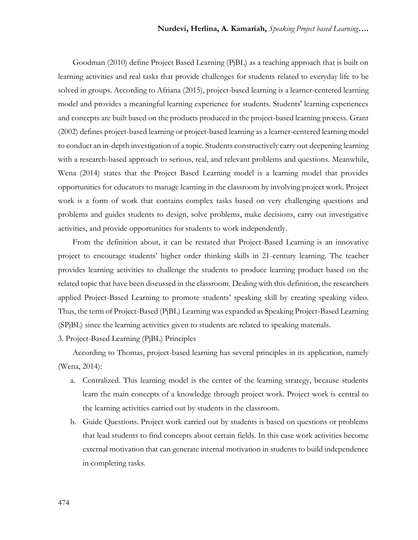Goodman (2010) define Project Based Learning (PjBL) as a teaching approach that is built on learning activities and real tasks that provide challenges for students related to everyday life to be solved in groups. According to Afriana (2015), project-based learning is a learner-centered learning model and provides a meaningful learning experience for students. Students' learning experiences and concepts are built based on the products produced in the project-based learning process. Grant (2002) defines project-based learning or project-based learning as a learner-centered learning model to conduct an in-depth investigation of a topic. Students constructively carry out deepening learning with a research-based approach to serious, real, and relevant problems and questions. Meanwhile, Wena (2014) states that the Project Based Learning model is a learning model that provides opportunities for educators to manage learning in the classroom by involving project work. Project work is a form of work that contains complex tasks based on very challenging questions and problems and guides students to design, solve problems, make decisions, carry out investigative activities, and provide opportunities for students to work independently.

From the definition about, it can be restated that Project-Based Learning is an innovative project to encourage students' higher order thinking skills in 21-century learning. The teacher provides learning activities to challenge the students to produce learning product based on the related topic that have been discussed in the classroom. Dealing with this definition, the researchers applied Project-Based Learning to promote students' speaking skill by creating speaking video. Thus, the term of Project-Based (PjBL) Learning was expanded as Speaking Project-Based Learning (SPjBL) since the learning activities given to students are related to speaking materials.

3. Project-Based Learning (PjBL) Principles

According to Thomas, project-based learning has several principles in its application, namely (Wena, 2014):

- a. Centralized. This learning model is the center of the learning strategy, because students learn the main concepts of a knowledge through project work. Project work is central to the learning activities carried out by students in the classroom.
- b. Guide Questions. Project work carried out by students is based on questions or problems that lead students to find concepts about certain fields. In this case work activities become external motivation that can generate internal motivation in students to build independence in completing tasks.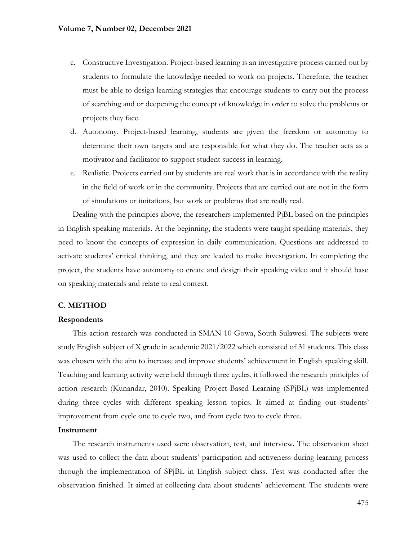- c. Constructive Investigation. Project-based learning is an investigative process carried out by students to formulate the knowledge needed to work on projects. Therefore, the teacher must be able to design learning strategies that encourage students to carry out the process of searching and or deepening the concept of knowledge in order to solve the problems or projects they face.
- d. Autonomy. Project-based learning, students are given the freedom or autonomy to determine their own targets and are responsible for what they do. The teacher acts as a motivator and facilitator to support student success in learning.
- e. Realistic. Projects carried out by students are real work that is in accordance with the reality in the field of work or in the community. Projects that are carried out are not in the form of simulations or imitations, but work or problems that are really real.

Dealing with the principles above, the researchers implemented PjBL based on the principles in English speaking materials. At the beginning, the students were taught speaking materials, they need to know the concepts of expression in daily communication. Questions are addressed to activate students' critical thinking, and they are leaded to make investigation. In completing the project, the students have autonomy to create and design their speaking video and it should base on speaking materials and relate to real context.

# **C. METHOD**

## **Respondents**

This action research was conducted in SMAN 10 Gowa, South Sulawesi. The subjects were study English subject of X grade in academic 2021/2022 which consisted of 31 students. This class was chosen with the aim to increase and improve students' achievement in English speaking skill. Teaching and learning activity were held through three cycles, it followed the research principles of action research (Kunandar, 2010). Speaking Project-Based Learning (SPjBL) was implemented during three cycles with different speaking lesson topics. It aimed at finding out students' improvement from cycle one to cycle two, and from cycle two to cycle three.

#### **Instrument**

The research instruments used were observation, test, and interview. The observation sheet was used to collect the data about students' participation and activeness during learning process through the implementation of SPjBL in English subject class. Test was conducted after the observation finished. It aimed at collecting data about students' achievement. The students were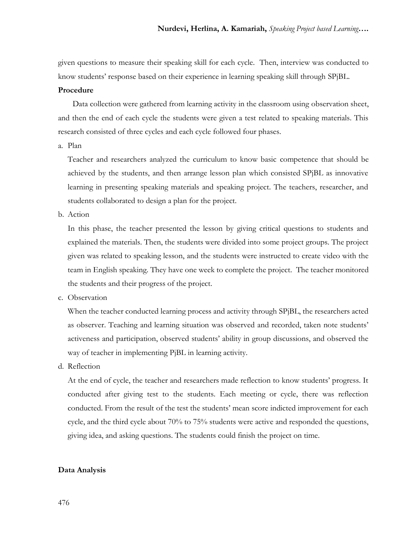given questions to measure their speaking skill for each cycle. Then, interview was conducted to know students' response based on their experience in learning speaking skill through SPjBL.

## **Procedure**

Data collection were gathered from learning activity in the classroom using observation sheet, and then the end of each cycle the students were given a test related to speaking materials. This research consisted of three cycles and each cycle followed four phases.

a. Plan

Teacher and researchers analyzed the curriculum to know basic competence that should be achieved by the students, and then arrange lesson plan which consisted SPjBL as innovative learning in presenting speaking materials and speaking project. The teachers, researcher, and students collaborated to design a plan for the project.

b. Action

In this phase, the teacher presented the lesson by giving critical questions to students and explained the materials. Then, the students were divided into some project groups. The project given was related to speaking lesson, and the students were instructed to create video with the team in English speaking. They have one week to complete the project. The teacher monitored the students and their progress of the project.

c. Observation

When the teacher conducted learning process and activity through SPjBL, the researchers acted as observer. Teaching and learning situation was observed and recorded, taken note students' activeness and participation, observed students' ability in group discussions, and observed the way of teacher in implementing PjBL in learning activity.

d. Reflection

At the end of cycle, the teacher and researchers made reflection to know students' progress. It conducted after giving test to the students. Each meeting or cycle, there was reflection conducted. From the result of the test the students' mean score indicted improvement for each cycle, and the third cycle about 70% to 75% students were active and responded the questions, giving idea, and asking questions. The students could finish the project on time.

## **Data Analysis**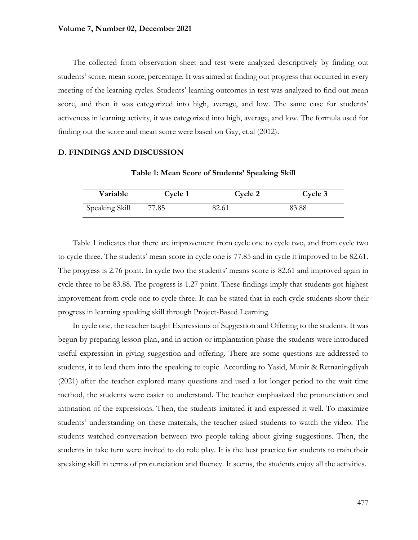The collected from observation sheet and test were analyzed descriptively by finding out students' score, mean score, percentage. It was aimed at finding out progress that occurred in every meeting of the learning cycles. Students' learning outcomes in test was analyzed to find out mean score, and then it was categorized into high, average, and low. The same case for students' activeness in learning activity, it was categorized into high, average, and low. The formula used for finding out the score and mean score were based on Gay, et.al (2012).

## **D. FINDINGS AND DISCUSSION**

| <b>Variable</b> | Cycle 1 | Cycle 2 | Cycle 3 |
|-----------------|---------|---------|---------|
| Speaking Skill  | 77.85   | 82.61   | 83.88   |

**Table 1: Mean Score of Students' Speaking Skill**

Table 1 indicates that there are improvement from cycle one to cycle two, and from cycle two to cycle three. The students' mean score in cycle one is 77.85 and in cycle it improved to be 82.61. The progress is 2.76 point. In cycle two the students' means score is 82.61 and improved again in cycle three to be 83.88. The progress is 1.27 point. These findings imply that students got highest improvement from cycle one to cycle three. It can be stated that in each cycle students show their progress in learning speaking skill through Project-Based Learning.

In cycle one, the teacher taught Expressions of Suggestion and Offering to the students. It was begun by preparing lesson plan, and in action or implantation phase the students were introduced useful expression in giving suggestion and offering. There are some questions are addressed to students, it to lead them into the speaking to topic. According to Yasid, Munir & Retnaningdiyah (2021) after the teacher explored many questions and used a lot longer period to the wait time method, the students were easier to understand. The teacher emphasized the pronunciation and intonation of the expressions. Then, the students imitated it and expressed it well. To maximize students' understanding on these materials, the teacher asked students to watch the video. The students watched conversation between two people taking about giving suggestions. Then, the students in take turn were invited to do role play. It is the best practice for students to train their speaking skill in terms of pronunciation and fluency. It seems, the students enjoy all the activities.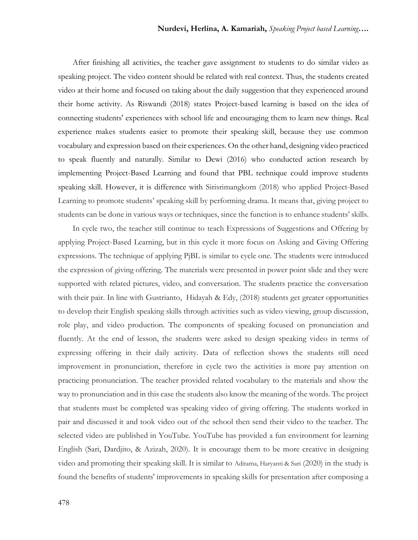After finishing all activities, the teacher gave assignment to students to do similar video as speaking project. The video content should be related with real context. Thus, the students created video at their home and focused on taking about the daily suggestion that they experienced around their home activity. As Riswandi (2018) states Project-based learning is based on the idea of connecting students' experiences with school life and encouraging them to learn new things. Real experience makes students easier to promote their speaking skill, because they use common vocabulary and expression based on their experiences. On the other hand, designing video practiced to speak fluently and naturally. Similar to Dewi (2016) who conducted action research by implementing Project-Based Learning and found that PBL technique could improve students speaking skill. However, it is difference with Sirisrimangkorn (2018) who applied Project-Based Learning to promote students' speaking skill by performing drama. It means that, giving project to students can be done in various ways or techniques, since the function is to enhance students' skills.

In cycle two, the teacher still continue to teach Expressions of Suggestions and Offering by applying Project-Based Learning, but in this cycle it more focus on Asking and Giving Offering expressions. The technique of applying PjBL is similar to cycle one. The students were introduced the expression of giving offering. The materials were presented in power point slide and they were supported with related pictures, video, and conversation. The students practice the conversation with their pair. In line with Gustrianto, Hidayah & Edy, (2018) students get greater opportunities to develop their English speaking skills through activities such as video viewing, group discussion, role play, and video production. The components of speaking focused on pronunciation and fluently. At the end of lesson, the students were asked to design speaking video in terms of expressing offering in their daily activity. Data of reflection shows the students still need improvement in pronunciation, therefore in cycle two the activities is more pay attention on practicing pronunciation. The teacher provided related vocabulary to the materials and show the way to pronunciation and in this case the students also know the meaning of the words. The project that students must be completed was speaking video of giving offering. The students worked in pair and discussed it and took video out of the school then send their video to the teacher. The selected video are published in YouTube. YouTube has provided a fun environment for learning English (Sari, Dardjito, & Azizah, 2020). It is encourage them to be more creative in designing video and promoting their speaking skill. It is similar to Aditama, Haryanti & Sari (2020) in the study is found the benefits of students' improvements in speaking skills for presentation after composing a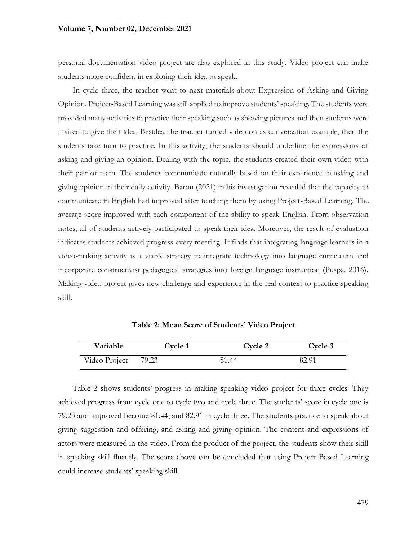#### **Volume 7, Number 02, December 2021**

personal documentation video project are also explored in this study. Video project can make students more confident in exploring their idea to speak.

In cycle three, the teacher went to next materials about Expression of Asking and Giving Opinion. Project-Based Learning was still applied to improve students' speaking. The students were provided many activities to practice their speaking such as showing pictures and then students were invited to give their idea. Besides, the teacher turned video on as conversation example, then the students take turn to practice. In this activity, the students should underline the expressions of asking and giving an opinion. Dealing with the topic, the students created their own video with their pair or team. The students communicate naturally based on their experience in asking and giving opinion in their daily activity. Baron (2021) in his investigation revealed that the capacity to communicate in English had improved after teaching them by using Project-Based Learning. The average score improved with each component of the ability to speak English. From observation notes, all of students actively participated to speak their idea. Moreover, the result of evaluation indicates students achieved progress every meeting. It finds that integrating language learners in a video-making activity is a viable strategy to integrate technology into language curriculum and incorporate constructivist pedagogical strategies into foreign language instruction (Puspa. 2016). Making video project gives new challenge and experience in the real context to practice speaking skill.

| Variable      | Cycle 1 | Cycle 2 | Cycle 3 |
|---------------|---------|---------|---------|
| Video Project | 79.23   | 81.44   | 82.91   |

**Table 2: Mean Score of Students' Video Project**

Table 2 shows students' progress in making speaking video project for three cycles. They achieved progress from cycle one to cycle two and cycle three. The students' score in cycle one is 79.23 and improved become 81.44, and 82.91 in cycle three. The students practice to speak about giving suggestion and offering, and asking and giving opinion. The content and expressions of actors were measured in the video. From the product of the project, the students show their skill in speaking skill fluently. The score above can be concluded that using Project-Based Learning could increase students' speaking skill.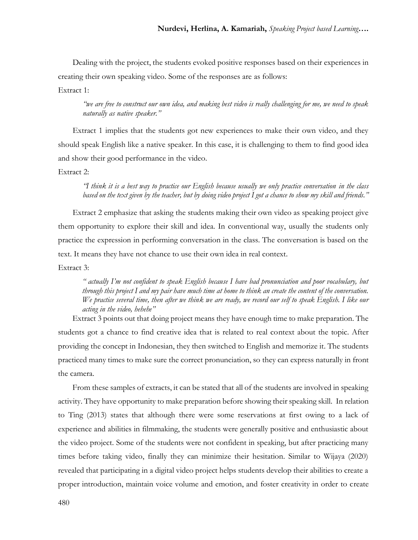Dealing with the project, the students evoked positive responses based on their experiences in creating their own speaking video. Some of the responses are as follows:

Extract 1:

*"we are free to construct our own idea, and making best video is really challenging for me, we need to speak naturally as native speaker."* 

Extract 1 implies that the students got new experiences to make their own video, and they should speak English like a native speaker. In this case, it is challenging to them to find good idea and show their good performance in the video.

Extract 2:

*"I think it is a best way to practice our English because usually we only practice conversation in the class based on the text given by the teacher, but by doing video project I got a chance to show my skill and friends."*

Extract 2 emphasize that asking the students making their own video as speaking project give them opportunity to explore their skill and idea. In conventional way, usually the students only practice the expression in performing conversation in the class. The conversation is based on the text. It means they have not chance to use their own idea in real context.

Extract 3:

*" actually I'm not confident to speak English because I have bad pronunciation and poor vocabulary, but through this project I and my pair have much time at home to think an create the content of the conversation. We practice several time, then after we think we are ready, we record our self to speak English. I like our acting in the video, hehehe"*

Extract 3 points out that doing project means they have enough time to make preparation. The students got a chance to find creative idea that is related to real context about the topic. After providing the concept in Indonesian, they then switched to English and memorize it. The students practiced many times to make sure the correct pronunciation, so they can express naturally in front the camera.

From these samples of extracts, it can be stated that all of the students are involved in speaking activity. They have opportunity to make preparation before showing their speaking skill.In relation to Ting (2013) states that although there were some reservations at first owing to a lack of experience and abilities in filmmaking, the students were generally positive and enthusiastic about the video project. Some of the students were not confident in speaking, but after practicing many times before taking video, finally they can minimize their hesitation. Similar to Wijaya (2020) revealed that participating in a digital video project helps students develop their abilities to create a proper introduction, maintain voice volume and emotion, and foster creativity in order to create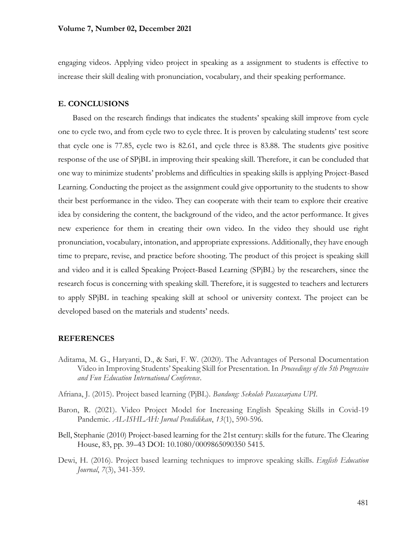engaging videos. Applying video project in speaking as a assignment to students is effective to increase their skill dealing with pronunciation, vocabulary, and their speaking performance.

#### **E. CONCLUSIONS**

Based on the research findings that indicates the students' speaking skill improve from cycle one to cycle two, and from cycle two to cycle three. It is proven by calculating students' test score that cycle one is 77.85, cycle two is 82.61, and cycle three is 83.88. The students give positive response of the use of SPjBL in improving their speaking skill. Therefore, it can be concluded that one way to minimize students' problems and difficulties in speaking skills is applying Project-Based Learning. Conducting the project as the assignment could give opportunity to the students to show their best performance in the video. They can cooperate with their team to explore their creative idea by considering the content, the background of the video, and the actor performance. It gives new experience for them in creating their own video. In the video they should use right pronunciation, vocabulary, intonation, and appropriate expressions. Additionally, they have enough time to prepare, revise, and practice before shooting. The product of this project is speaking skill and video and it is called Speaking Project-Based Learning (SPjBL) by the researchers, since the research focus is concerning with speaking skill. Therefore, it is suggested to teachers and lecturers to apply SPjBL in teaching speaking skill at school or university context. The project can be developed based on the materials and students' needs.

#### **REFERENCES**

- Aditama, M. G., Haryanti, D., & Sari, F. W. (2020). The Advantages of Personal Documentation Video in Improving Students' Speaking Skill for Presentation. In *Proceedings of the 5th Progressive and Fun Education International Conference*.
- Afriana, J. (2015). Project based learning (PjBL). *Bandung: Sekolah Pascasarjana UPI*.
- Baron, R. (2021). Video Project Model for Increasing English Speaking Skills in Covid-19 Pandemic. *AL-ISHLAH: Jurnal Pendidikan*, *13*(1), 590-596.
- Bell, Stephanie (2010) Project-based learning for the 21st century: skills for the future. The Clearing House, 83, pp. 39–43 DOI: 10.1080/0009865090350 5415.
- Dewi, H. (2016). Project based learning techniques to improve speaking skills. *English Education Journal*, *7*(3), 341-359.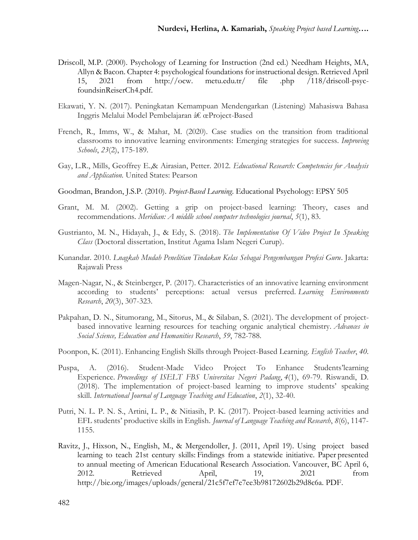- Driscoll, M.P. (2000). Psychology of Learning for Instruction (2nd ed.) Needham Heights, MA, Allyn & Bacon. Chapter 4: psychological foundations for instructional design. Retrieved April 15, 2021 from http://ocw. metu.edu.tr/ file .php /118/driscoll-psycfoundsinReiserCh4.pdf.
- Ekawati, Y. N. (2017). Peningkatan Kemampuan Mendengarkan (Listening) Mahasiswa Bahasa Inggris Melalui Model Pembelajaran †œProject-Based
- French, R., Imms, W., & Mahat, M. (2020). Case studies on the transition from traditional classrooms to innovative learning environments: Emerging strategies for success. *Improving Schools*, *23*(2), 175-189.
- Gay, L.R., Mills, Geoffrey E.,& Airasian, Petter. 2012. *Educational Research: Competencies for Analysis and Application.* United States: Pearson
- Goodman, Brandon, J.S.P. (2010). *Project-Based Learning*. Educational Psychology: EPSY 505
- Grant, M. M. (2002). Getting a grip on project-based learning: Theory, cases and recommendations. *Meridian: A middle school computer technologies journal*, *5*(1), 83.
- Gustrianto, M. N., Hidayah, J., & Edy, S. (2018). *The Implementation Of Video Project In Speaking Class* (Doctoral dissertation, Institut Agama Islam Negeri Curup).
- Kunandar. 2010. *Lnagkah Mudah Penelitian Tindakan Kelas Sebagai Pengembangan Profesi Guru*. Jakarta: Rajawali Press
- Magen-Nagar, N., & Steinberger, P. (2017). Characteristics of an innovative learning environment according to students' perceptions: actual versus preferred. *Learning Environments Research*, *20*(3), 307-323.
- Pakpahan, D. N., Situmorang, M., Sitorus, M., & Silaban, S. (2021). The development of projectbased innovative learning resources for teaching organic analytical chemistry. *Advances in Social Science, Education and Humanities Research*, *59*, 782-788.
- Poonpon, K. (2011). Enhancing English Skills through Project-Based Learning. *English Teacher*, *40*.
- Puspa, A. (2016). Student-Made Video Project To Enhance Students'learning Experience. *Proceedings of ISELT FBS Universitas Negeri Padang*, *4*(1), 69-79. Riswandi, D. (2018). The implementation of project-based learning to improve students' speaking skill. *International Journal of Language Teaching and Education*, *2*(1), 32-40.
- Putri, N. L. P. N. S., Artini, L. P., & Nitiasih, P. K. (2017). Project-based learning activities and EFL students' productive skills in English. *Journal of Language Teaching and Research*, *8*(6), 1147- 1155.
- Ravitz, J., Hixson, N., English, M., & Mergendoller, J. (2011, April 19). Using project based learning to teach 21st century skills: Findings from a statewide initiative. Paper presented to annual meeting of American Educational Research Association. Vancouver, BC April 6, 2012. Retrieved April, 19, 2021 from http://bie.org/images/uploads/general/21c5f7ef7e7ee3b98172602b29d8c6a. PDF.